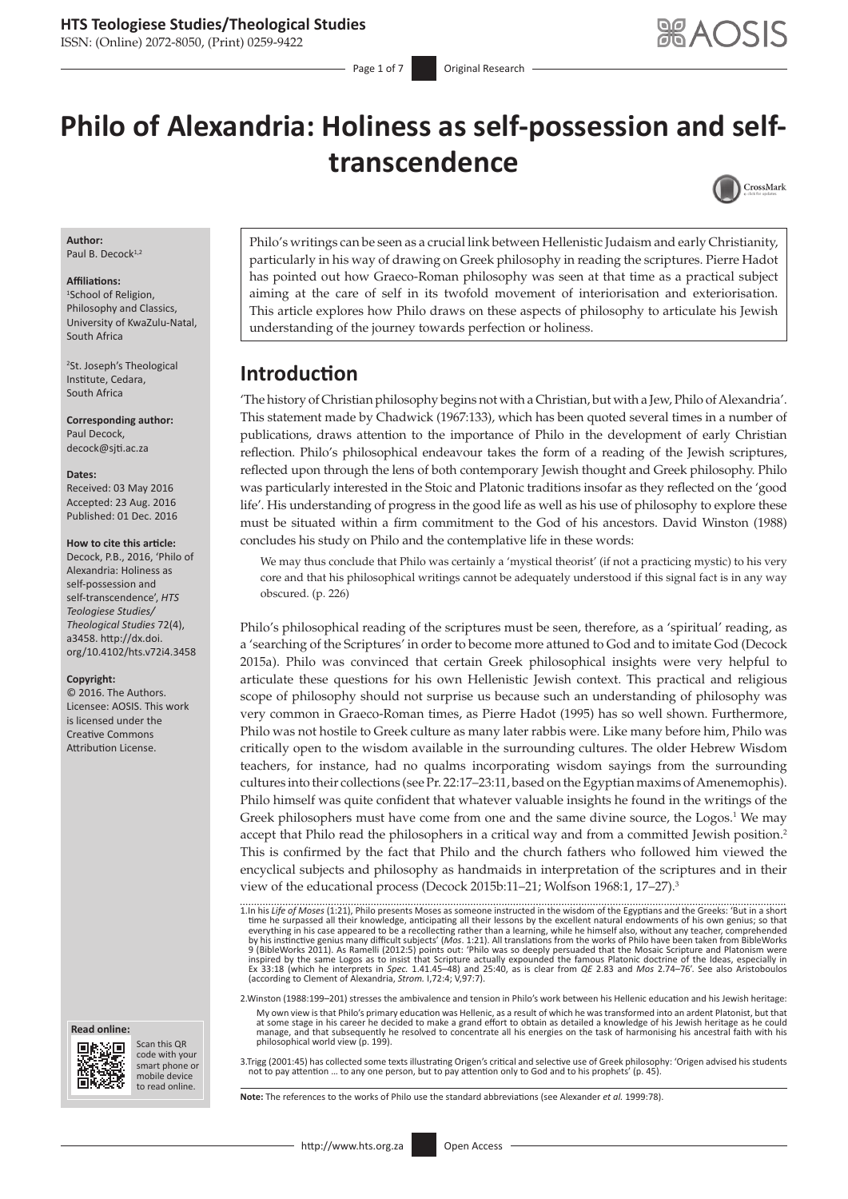ISSN: (Online) 2072-8050, (Print) 0259-9422

# **Philo of Alexandria: Holiness as self-possession and selftranscendence**



### **Author:**

Paul B. Decock<sup>1,2</sup>

#### **Affiliations:**

1 School of Religion, Philosophy and Classics, University of KwaZulu-Natal, South Africa

2 St. Joseph's Theological Institute, Cedara, South Africa

#### **Corresponding author:**

Paul Decock, [decock@sjti.ac.za](mailto:decock@sjti.ac.za)

#### **Dates:**

Received: 03 May 2016 Accepted: 23 Aug. 2016 Published: 01 Dec. 2016

#### **How to cite this article:**

Decock, P.B., 2016, 'Philo of Alexandria: Holiness as self-possession and self-transcendence', *HTS Teologiese Studies/ Theological Studies* 72(4), a3458. [http://dx.doi.](http://dx.doi.org/10.4102/hts.v72i4.3458) [org/10.4102/hts.v72i4.3458](http://dx.doi.org/10.4102/hts.v72i4.3458)

#### **Copyright:**

© 2016. The Authors. Licensee: AOSIS. This work is licensed under the Creative Commons Attribution License.

#### **Read online: Read**



Scan this QR Scan this QR<br>code with your smart phone or smart phone or mobile mobile device to read online. to read online.

Philo's writings can be seen as a crucial link between Hellenistic Judaism and early Christianity, particularly in his way of drawing on Greek philosophy in reading the scriptures. Pierre Hadot has pointed out how Graeco-Roman philosophy was seen at that time as a practical subject aiming at the care of self in its twofold movement of interiorisation and exteriorisation. This article explores how Philo draws on these aspects of philosophy to articulate his Jewish understanding of the journey towards perfection or holiness.

### **Introduction**

'The history of Christian philosophy begins not with a Christian, but with a Jew, Philo of Alexandria'. This statement made by Chadwick (1967:133), which has been quoted several times in a number of publications, draws attention to the importance of Philo in the development of early Christian reflection. Philo's philosophical endeavour takes the form of a reading of the Jewish scriptures, reflected upon through the lens of both contemporary Jewish thought and Greek philosophy. Philo was particularly interested in the Stoic and Platonic traditions insofar as they reflected on the 'good life'. His understanding of progress in the good life as well as his use of philosophy to explore these must be situated within a firm commitment to the God of his ancestors. David Winston (1988) concludes his study on Philo and the contemplative life in these words:

We may thus conclude that Philo was certainly a 'mystical theorist' (if not a practicing mystic) to his very core and that his philosophical writings cannot be adequately understood if this signal fact is in any way obscured. (p. 226)

Philo's philosophical reading of the scriptures must be seen, therefore, as a 'spiritual' reading, as a 'searching of the Scriptures' in order to become more attuned to God and to imitate God (Decock 2015a). Philo was convinced that certain Greek philosophical insights were very helpful to articulate these questions for his own Hellenistic Jewish context. This practical and religious scope of philosophy should not surprise us because such an understanding of philosophy was very common in Graeco-Roman times, as Pierre Hadot (1995) has so well shown. Furthermore, Philo was not hostile to Greek culture as many later rabbis were. Like many before him, Philo was critically open to the wisdom available in the surrounding cultures. The older Hebrew Wisdom teachers, for instance, had no qualms incorporating wisdom sayings from the surrounding cultures into their collections (see Pr. 22:17–23:11, based on the Egyptian maxims of Amenemophis). Philo himself was quite confident that whatever valuable insights he found in the writings of the Greek philosophers must have come from one and the same divine source, the Logos.<sup>1</sup> We may accept that Philo read the philosophers in a critical way and from a committed Jewish position.<sup>2</sup> This is confirmed by the fact that Philo and the church fathers who followed him viewed the encyclical subjects and philosophy as handmaids in interpretation of the scriptures and in their view of the educational process (Decock 2015b:11-21; Wolfson 1968:1, 17-27).<sup>3</sup>

2.Winston (1988:199–201) stresses the ambivalence and tension in Philo's work between his Hellenic education and his Jewish heritage:

My own view is that Philo's primary education was Hellenic, as a result of which he was transformed into an ardent Platonist, but that at some stage in his career he decided to make a grand effort to obtain as detailed a knowledge of his Jewish heritage as he could manage, and that subsequently he resolved to concentrate all his energies on the task of harmonising his ancestral faith with his philosophical world view (p. 199).

3.Trigg (2001:45) has collected some texts illustrating Origen's critical and selective use of Greek philosophy: 'Origen advised his students<br>not to pay attention ... to any one person, but to pay attention only to God and

**Note:** The references to the works of Philo use the standard abbreviations (see Alexander *et al.* 1999:78).

<sup>1.</sup>In his *Life of Moses* (1:21), Philo presents Moses as someone instructed in the wisdom of the Egyptians and the Greeks: 'But in a short time he surpassed all their knowledge, anticipating all their lessons by the excellent natural endowments of his own genius; so that<br>everything in his case appeared to be a recollecting rather than a learning, while he him by his instinctive genius many difficult subjects' (Mos. 1:21). All translations from the works of Philo have been taken from BibleWorks<br>9 (BibleWorks 2011). As Ramelli (2012:5) points out: 'Philo was so deeply persuaded t Ex 33:18 (which he interprets in *Spec.* 1.41.45–48) and 25:40, as is clear from *QE* 2.83 and *Mos* 2.74–76'. See also Aristoboulos (according to Clement of Alexandria, *Strom.* I,72:4; V,97:7).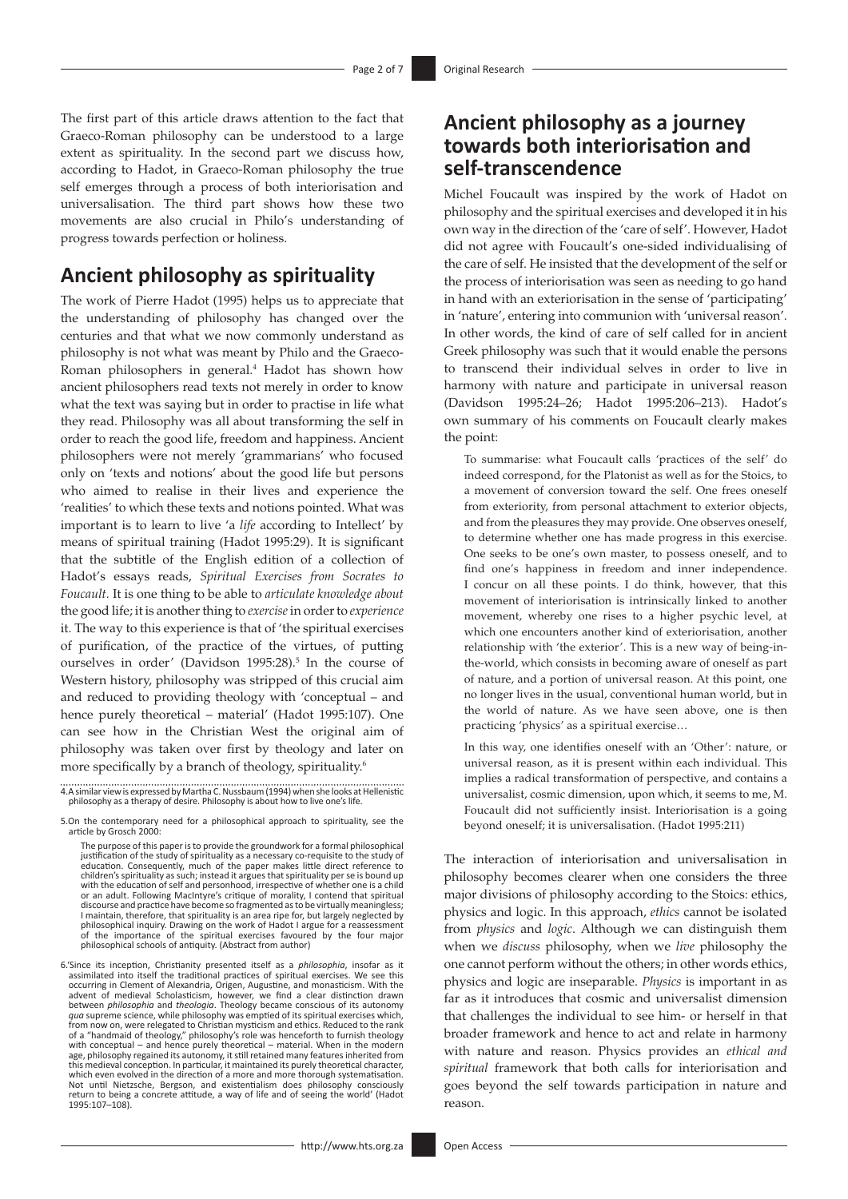The first part of this article draws attention to the fact that Graeco-Roman philosophy can be understood to a large extent as spirituality. In the second part we discuss how, according to Hadot, in Graeco-Roman philosophy the true self emerges through a process of both interiorisation and universalisation. The third part shows how these two movements are also crucial in Philo's understanding of progress towards perfection or holiness.

## **Ancient philosophy as spirituality**

The work of Pierre Hadot (1995) helps us to appreciate that the understanding of philosophy has changed over the centuries and that what we now commonly understand as philosophy is not what was meant by Philo and the Graeco-Roman philosophers in general.4 Hadot has shown how ancient philosophers read texts not merely in order to know what the text was saying but in order to practise in life what they read. Philosophy was all about transforming the self in order to reach the good life, freedom and happiness. Ancient philosophers were not merely 'grammarians' who focused only on 'texts and notions' about the good life but persons who aimed to realise in their lives and experience the 'realities' to which these texts and notions pointed. What was important is to learn to live 'a *life* according to Intellect' by means of spiritual training (Hadot 1995:29). It is significant that the subtitle of the English edition of a collection of Hadot's essays reads, *Spiritual Exercises from Socrates to Foucault.* It is one thing to be able to *articulate knowledge about* the good life; it is another thing to *exercise* in order to *experience* it. The way to this experience is that of 'the spiritual exercises of purification, of the practice of the virtues, of putting ourselves in order' (Davidson 1995:28).<sup>5</sup> In the course of Western history, philosophy was stripped of this crucial aim and reduced to providing theology with 'conceptual – and hence purely theoretical – material' (Hadot 1995:107). One can see how in the Christian West the original aim of philosophy was taken over first by theology and later on more specifically by a branch of theology, spirituality.<sup>6</sup>

4.A similar view is expressed by Martha C. Nussbaum (1994) when she looks at Hellenistic philosophy as a therapy of desire. Philosophy is about how to live one's life.

The purpose of this paper is to provide the groundwork for a formal philosophical justification of the study of spirituality as a necessary co-requisite to the study of education. Consequently, much of the paper makes little direct reference to children's spirituality as such; instead it argues that spirituality per se is bound up with the education of self and personhood, irrespective of whether one is a child or an adult. Following MacIntyre's critique of morality, I contend that spiritual discourse and practice have become so fragmented as to be virtually meaningless; I maintain, therefore, that spirituality is an area ripe for, but largely neglected by philosophical inquiry. Drawing on the work of Hadot I argue for a reassessment of the importance of the spiritual exercises favoured by the four major philosophical schools of antiquity. (Abstract from author)

6.'Since its inception, Christianity presented itself as a *philosophia*, insofar as it assimilated into itself the traditional practices of spiritual exercises. We see this occurring in Clement of Alexandria, Origen, Augustine, and monasticism. With the advent of medieval Scholasticism, however, we find a clear distinction drawn between *philosophia* and *theologia*. Theology became conscious of its autonomy<br>*qua* supreme science, while philosophy was emptied of its spiritual exercises which,<br>from now on, were relegated to Christian mysticism and with conceptual – and hence purely theoretical – material. When in the modern age, philosophy regained its autonomy, it still retained many features inherited from this medieval conception. In particular, it maintained its purely theoretical character, which even evolved in the direction of a more and more thorough systematisation. Not until Nietzsche, Bergson, and existentialism does philosophy consciously return to being a concrete attitude, a way of life and of seeing the world' (Hadot 1995:107–108). Michel Foucault was inspired by the work of Hadot on philosophy and the spiritual exercises and developed it in his own way in the direction of the 'care of self'. However, Hadot did not agree with Foucault's one-sided individualising of the care of self. He insisted that the development of the self or the process of interiorisation was seen as needing to go hand in hand with an exteriorisation in the sense of 'participating' in 'nature', entering into communion with 'universal reason'. In other words, the kind of care of self called for in ancient Greek philosophy was such that it would enable the persons to transcend their individual selves in order to live in harmony with nature and participate in universal reason (Davidson 1995:24–26; Hadot 1995:206–213). Hadot's own summary of his comments on Foucault clearly makes the point:

To summarise: what Foucault calls 'practices of the self' do indeed correspond, for the Platonist as well as for the Stoics, to a movement of conversion toward the self. One frees oneself from exteriority, from personal attachment to exterior objects, and from the pleasures they may provide. One observes oneself, to determine whether one has made progress in this exercise. One seeks to be one's own master, to possess oneself, and to find one's happiness in freedom and inner independence. I concur on all these points. I do think, however, that this movement of interiorisation is intrinsically linked to another movement, whereby one rises to a higher psychic level, at which one encounters another kind of exteriorisation, another relationship with 'the exterior'. This is a new way of being-inthe-world, which consists in becoming aware of oneself as part of nature, and a portion of universal reason. At this point, one no longer lives in the usual, conventional human world, but in the world of nature. As we have seen above, one is then practicing 'physics' as a spiritual exercise…

In this way, one identifies oneself with an 'Other': nature, or universal reason, as it is present within each individual. This implies a radical transformation of perspective, and contains a universalist, cosmic dimension, upon which, it seems to me, M. Foucault did not sufficiently insist. Interiorisation is a going beyond oneself; it is universalisation. (Hadot 1995:211)

The interaction of interiorisation and universalisation in philosophy becomes clearer when one considers the three major divisions of philosophy according to the Stoics: ethics, physics and logic. In this approach, *ethics* cannot be isolated from *physics* and *logic*. Although we can distinguish them when we *discuss* philosophy, when we *live* philosophy the one cannot perform without the others; in other words ethics, physics and logic are inseparable. *Physics* is important in as far as it introduces that cosmic and universalist dimension that challenges the individual to see him- or herself in that broader framework and hence to act and relate in harmony with nature and reason. Physics provides an *ethical and spiritual* framework that both calls for interiorisation and goes beyond the self towards participation in nature and reason.

<sup>5.</sup>On the contemporary need for a philosophical approach to spirituality, see the article by Grosch 2000: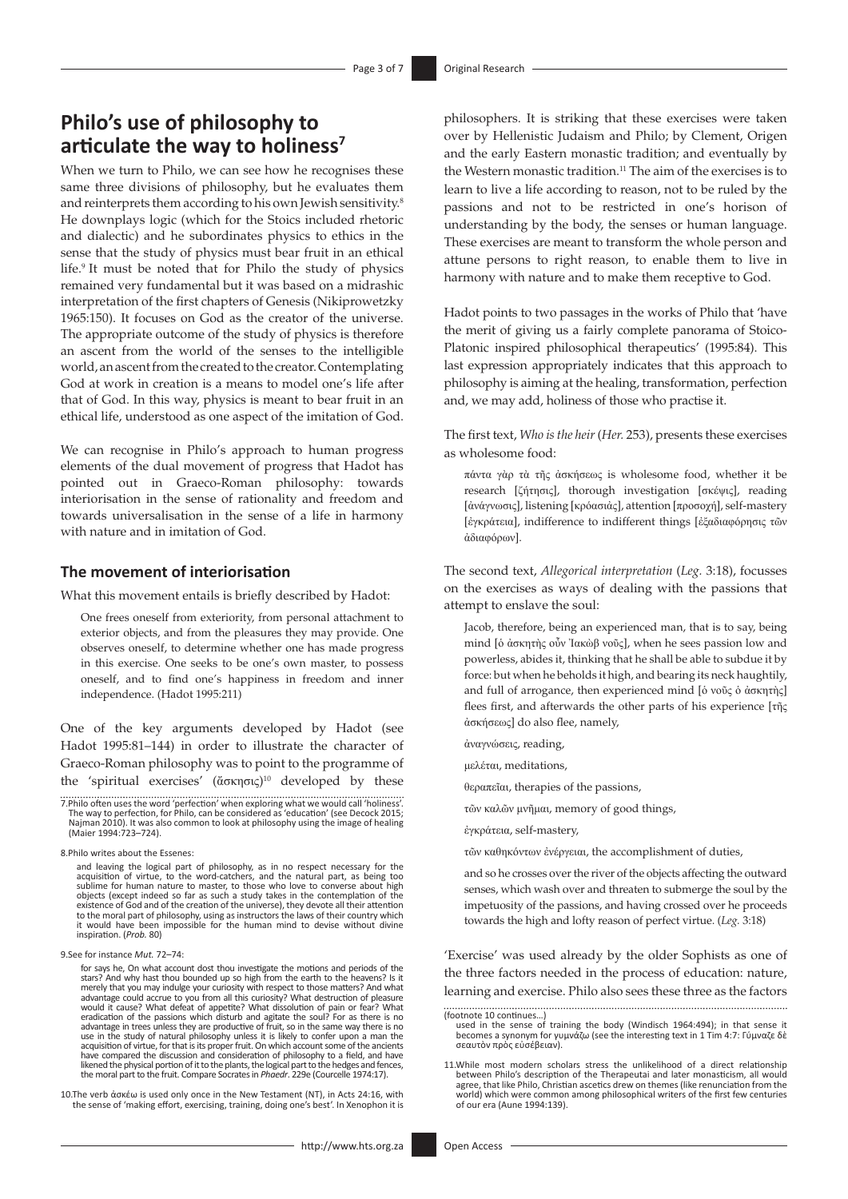## **Philo's use of philosophy to articulate the way to holiness<sup>7</sup>**

When we turn to Philo, we can see how he recognises these same three divisions of philosophy, but he evaluates them and reinterprets them according to his own Jewish sensitivity.<sup>8</sup> He downplays logic (which for the Stoics included rhetoric and dialectic) and he subordinates physics to ethics in the sense that the study of physics must bear fruit in an ethical life.<sup>9</sup> It must be noted that for Philo the study of physics remained very fundamental but it was based on a midrashic interpretation of the first chapters of Genesis (Nikiprowetzky 1965:150). It focuses on God as the creator of the universe. The appropriate outcome of the study of physics is therefore an ascent from the world of the senses to the intelligible world, an ascent from the created to the creator. Contemplating God at work in creation is a means to model one's life after that of God. In this way, physics is meant to bear fruit in an ethical life, understood as one aspect of the imitation of God.

We can recognise in Philo's approach to human progress elements of the dual movement of progress that Hadot has pointed out in Graeco-Roman philosophy: towards interiorisation in the sense of rationality and freedom and towards universalisation in the sense of a life in harmony with nature and in imitation of God.

#### **The movement of interiorisation**

What this movement entails is briefly described by Hadot:

One frees oneself from exteriority, from personal attachment to exterior objects, and from the pleasures they may provide. One observes oneself, to determine whether one has made progress in this exercise. One seeks to be one's own master, to possess oneself, and to find one's happiness in freedom and inner independence. (Hadot 1995:211)

One of the key arguments developed by Hadot (see Hadot 1995:81–144) in order to illustrate the character of Graeco-Roman philosophy was to point to the programme of the 'spiritual exercises' (ἄσκησις) 10 developed by these

. 7. Philo often uses the word 'perfection' when exploring what we would call 'holiness'.<br>The way to perfection, for Philo, can be considered as 'education' (see Decock 2015;<br>Najman 2010). It was also common to look at phi (Maier 1994:723–724).

8.Philo writes about the Essenes:

and leaving the logical part of philosophy, as in no respect necessary for the acquisition of virtue, to the word-catchers, and the natural part, as being too sublime for human nature to master, to those who love to converse about high objects (except indeed so far as such a study takes in the contemplation of the existence of God and of the creation of the universe), they devote all their attention<br>to the moral part of philosophy, using as instructors the laws of their country which<br>it would have been impossible for the huma inspiration. (*Prob.* 80)

9.See for instance *Mut.* 72–74:

for says he, On what account dost thou investigate the motions and periods of the<br>stars? And why hast thou bounded up so high from the earth to the heavens? Is it<br>merely that you may indulge your curiosity with respect to advantage could accrue to you from all this curiosity? What destruction of pleasure would it cause? What defeat of appetite? What dissolution of pain or fear? What eradication of the passions which disturb and agitate the soul? For as there is no advantage in trees unless they are productive of fruit, so in the same way there is no use in the study of natural philosophy unless it is likely to confer upon a man the acquisition of virtue, for that is its proper fruit. On which account some of the ancients have compared the discussion and consideration

10.The verb ἀσκέω is used only once in the New Testament (NT), in Acts 24:16, with the sense of 'making effort, exercising, training, doing one's best'. In Xenophon it is

<http://www.hts.org.za> Open Access

philosophers. It is striking that these exercises were taken over by Hellenistic Judaism and Philo; by Clement, Origen and the early Eastern monastic tradition; and eventually by the Western monastic tradition.<sup>11</sup> The aim of the exercises is to learn to live a life according to reason, not to be ruled by the passions and not to be restricted in one's horison of understanding by the body, the senses or human language. These exercises are meant to transform the whole person and attune persons to right reason, to enable them to live in harmony with nature and to make them receptive to God.

Hadot points to two passages in the works of Philo that 'have the merit of giving us a fairly complete panorama of Stoico-Platonic inspired philosophical therapeutics' (1995:84). This last expression appropriately indicates that this approach to philosophy is aiming at the healing, transformation, perfection and, we may add, holiness of those who practise it.

The first text, *Who is the heir* (*Her.* 253), presents these exercises as wholesome food:

πάντα γὰρ τὰ τῆς ἀσκήσεως is wholesome food, whether it be research [ζήτησις], thorough investigation [σκέψις], reading [ἀνάγνωσις], listening [κρόασιἀς], attention [προσοχή], self-mastery [ἐγκράτεια], indifference to indifferent things [ἐξαδιαφόρησις τῶν ἀδιαφόρων].

The second text, *Allegorical interpretation* (*Leg.* 3:18), focusses on the exercises as ways of dealing with the passions that attempt to enslave the soul:

Jacob, therefore, being an experienced man, that is to say, being mind [ὁ ἀσκητὴς οὖν Ἰακὼβ νοῦς], when he sees passion low and powerless, abides it, thinking that he shall be able to subdue it by force: but when he beholds it high, and bearing its neck haughtily, and full of arrogance, then experienced mind [ὁ νοῦς ὁ ἀσκητὴς] flees first, and afterwards the other parts of his experience [τῆς ἀσκήσεως] do also flee, namely,

ἀναγνώσεις, reading,

μελέται, meditations,

- θεραπεῖαι, therapies of the passions,
- τῶν καλῶν μνῆμαι, memory of good things,

ἐγκράτεια, self-mastery,

τῶν καθηκόντων ἐνέργειαι, the accomplishment of duties,

and so he crosses over the river of the objects affecting the outward senses, which wash over and threaten to submerge the soul by the impetuosity of the passions, and having crossed over he proceeds towards the high and lofty reason of perfect virtue. (*Leg.* 3:18)

'Exercise' was used already by the older Sophists as one of the three factors needed in the process of education: nature, learning and exercise. Philo also sees these three as the factors

(footnote 10 continues…) used in the sense of training the body (Windisch 1964:494); in that sense it becomes a synonym for γυμνάζω (see the interesting text in 1 Tim 4:7: Γύμναζε δὲ σεαυτὸν πρὸς εὐσέβειαν).

11.While most modern scholars stress the unlikelihood of a direct relationship between Philo's description of the Therapeutai and later monasticism, all would agree, that like Philo, Christian ascetics drew on themes (like renunciation from the world) which were common among philosophical writers of the first few centuries of our era (Aune 1994:139).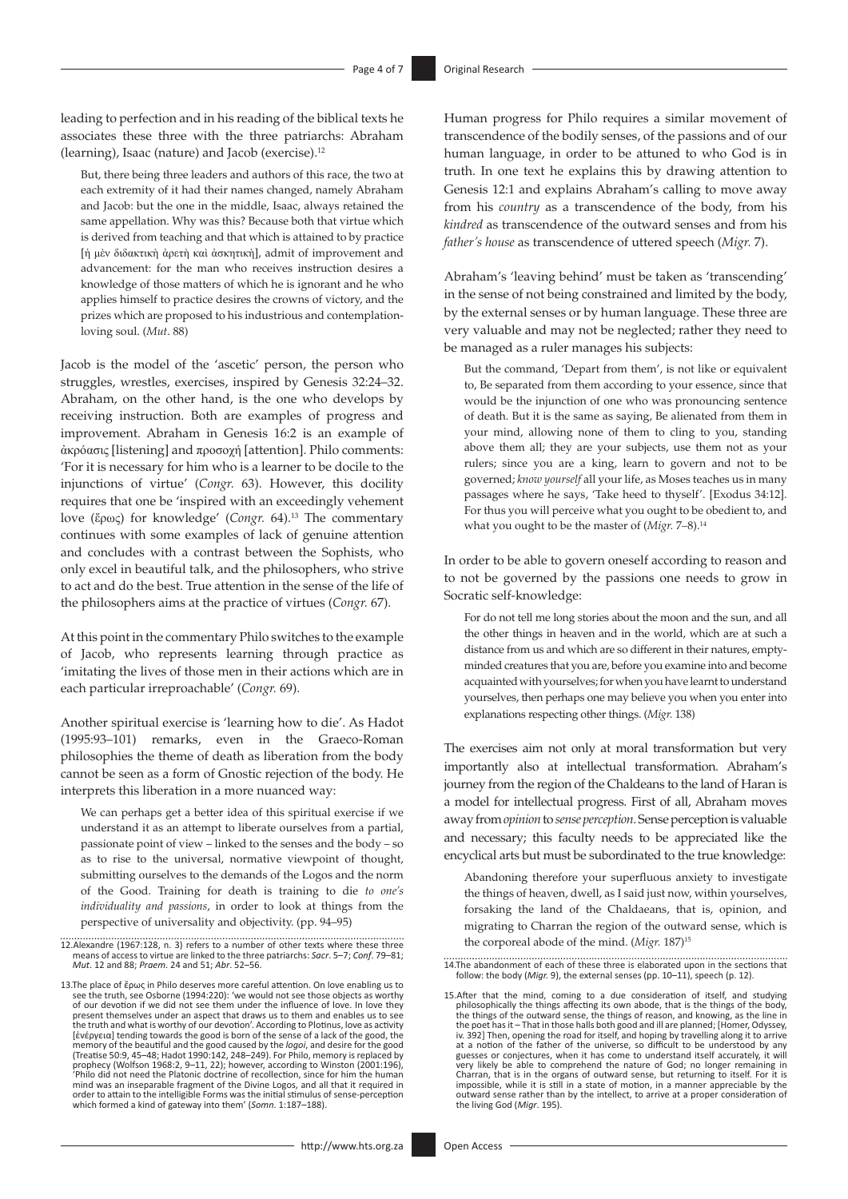leading to perfection and in his reading of the biblical texts he associates these three with the three patriarchs: Abraham (learning), Isaac (nature) and Jacob (exercise).<sup>12</sup>

But, there being three leaders and authors of this race, the two at each extremity of it had their names changed, namely Abraham and Jacob: but the one in the middle, Isaac, always retained the same appellation. Why was this? Because both that virtue which is derived from teaching and that which is attained to by practice [ἡ μὲν διδακτικὴ ἀρετὴ καὶ ἀσκητικὴ], admit of improvement and advancement: for the man who receives instruction desires a knowledge of those matters of which he is ignorant and he who applies himself to practice desires the crowns of victory, and the prizes which are proposed to his industrious and contemplationloving soul. (*Mut*. 88)

Jacob is the model of the 'ascetic' person, the person who struggles, wrestles, exercises, inspired by Genesis 32:24–32. Abraham, on the other hand, is the one who develops by receiving instruction. Both are examples of progress and improvement. Abraham in Genesis 16:2 is an example of ἀκρόασις [listening] and προσοχή [attention]. Philo comments: 'For it is necessary for him who is a learner to be docile to the injunctions of virtue' (*Congr.* 63). However, this docility requires that one be 'inspired with an exceedingly vehement love (ἔρως) for knowledge' (*Congr.* 64).13 The commentary continues with some examples of lack of genuine attention and concludes with a contrast between the Sophists, who only excel in beautiful talk, and the philosophers, who strive to act and do the best. True attention in the sense of the life of the philosophers aims at the practice of virtues (*Congr.* 67).

At this point in the commentary Philo switches to the example of Jacob, who represents learning through practice as 'imitating the lives of those men in their actions which are in each particular irreproachable' (*Congr.* 69).

Another spiritual exercise is 'learning how to die'. As Hadot (1995:93–101) remarks, even in the Graeco-Roman philosophies the theme of death as liberation from the body cannot be seen as a form of Gnostic rejection of the body. He interprets this liberation in a more nuanced way:

We can perhaps get a better idea of this spiritual exercise if we understand it as an attempt to liberate ourselves from a partial, passionate point of view – linked to the senses and the body – so as to rise to the universal, normative viewpoint of thought, submitting ourselves to the demands of the Logos and the norm of the Good. Training for death is training to die *to one's individuality and passions*, in order to look at things from the perspective of universality and objectivity. (pp. 94–95)

12. Alexandre (1967:128, n. 3) refers to a number of other texts where these three<br>means of access to virtue are linked to the three patriarchs: *Sacr*. 5–7; Conf. 79–81;<br>Mut. 12 and 88; Praem. 24 and 51; Abr. 52–56.

Human progress for Philo requires a similar movement of transcendence of the bodily senses, of the passions and of our human language, in order to be attuned to who God is in truth. In one text he explains this by drawing attention to Genesis 12:1 and explains Abraham's calling to move away from his *country* as a transcendence of the body, from his *kindred* as transcendence of the outward senses and from his *father's house* as transcendence of uttered speech (*Migr.* 7).

Abraham's 'leaving behind' must be taken as 'transcending' in the sense of not being constrained and limited by the body, by the external senses or by human language. These three are very valuable and may not be neglected; rather they need to be managed as a ruler manages his subjects:

But the command, 'Depart from them', is not like or equivalent to, Be separated from them according to your essence, since that would be the injunction of one who was pronouncing sentence of death. But it is the same as saying, Be alienated from them in your mind, allowing none of them to cling to you, standing above them all; they are your subjects, use them not as your rulers; since you are a king, learn to govern and not to be governed; *know yourself* all your life, as Moses teaches us in many passages where he says, 'Take heed to thyself'. [Exodus 34:12]. For thus you will perceive what you ought to be obedient to, and what you ought to be the master of (*Migr.* 7*–*8).14

In order to be able to govern oneself according to reason and to not be governed by the passions one needs to grow in Socratic self-knowledge:

For do not tell me long stories about the moon and the sun, and all the other things in heaven and in the world, which are at such a distance from us and which are so different in their natures, emptyminded creatures that you are, before you examine into and become acquainted with yourselves; for when you have learnt to understand yourselves, then perhaps one may believe you when you enter into explanations respecting other things. (*Migr.* 138)

The exercises aim not only at moral transformation but very importantly also at intellectual transformation. Abraham's journey from the region of the Chaldeans to the land of Haran is a model for intellectual progress. First of all, Abraham moves away from *opinion* to *sense perception*. Sense perception is valuable and necessary; this faculty needs to be appreciated like the encyclical arts but must be subordinated to the true knowledge:

Abandoning therefore your superfluous anxiety to investigate the things of heaven, dwell, as I said just now, within yourselves, forsaking the land of the Chaldaeans, that is, opinion, and migrating to Charran the region of the outward sense, which is the corporeal abode of the mind. (Migr. 187)<sup>15</sup>

<sup>13.</sup>The place of ἔρως in Philo deserves more careful attention. On love enabling us to see the truth, see Osborne (1994:220): 'we would not see those objects as worthy of our devotion if we did not see them under the influence of love. In love they present themselves under an aspect that draws us to them and enables us to see the truth and what is worthy of our devotion'. According to Plotinus, love as activity [ἐνέργεια] tending towards the good is born of the sense of a lack of the good, the memory of the beautiful and the good caused by the *logoi*, and desire for the good (Treatise 50:9, 45–48; Hadot 1990:142, 248–249). For Philo, memory is replaced by prophecy (Wolfson 1968:2, 9–11, 22); however, according to Winston (2001:196), 'Philo did not need the Platonic doctrine of recollection, since for him the human mind was an inseparable fragment of the Divine Logos, and all that it required in order to attain to the intelligible Forms was the initial stimulus of sense-perception which formed a kind of gateway into them' (*Somn*. 1:187–188).

<sup>14.</sup>The abandonment of each of these three is elaborated upon in the sections that follow: the body (*Migr.* 9), the external senses (pp. 10–11), speech (p. 12).

<sup>15.</sup>After that the mind, coming to a due consideration of itself, and studying philosophically the things affecting its own abode, that is the things of the body, the things of the outward sense, the things of reason, and knowing, as the line in those the poet has it – That in those halls both good a at a notion of the father of the universe, so difficult to be understood by any guesses or conjectures, when it has come to understand itself accurately, it will very likely be able to comprehend the nature of God; no longer remaining in<br>Charran, that is in the organs of outward sense, but returning to itself. For it is<br>impossible, while it is still in a state of motion, in a manne outward sense rather than by the intellect, to arrive at a proper consideration of the living God (*Migr*. 195).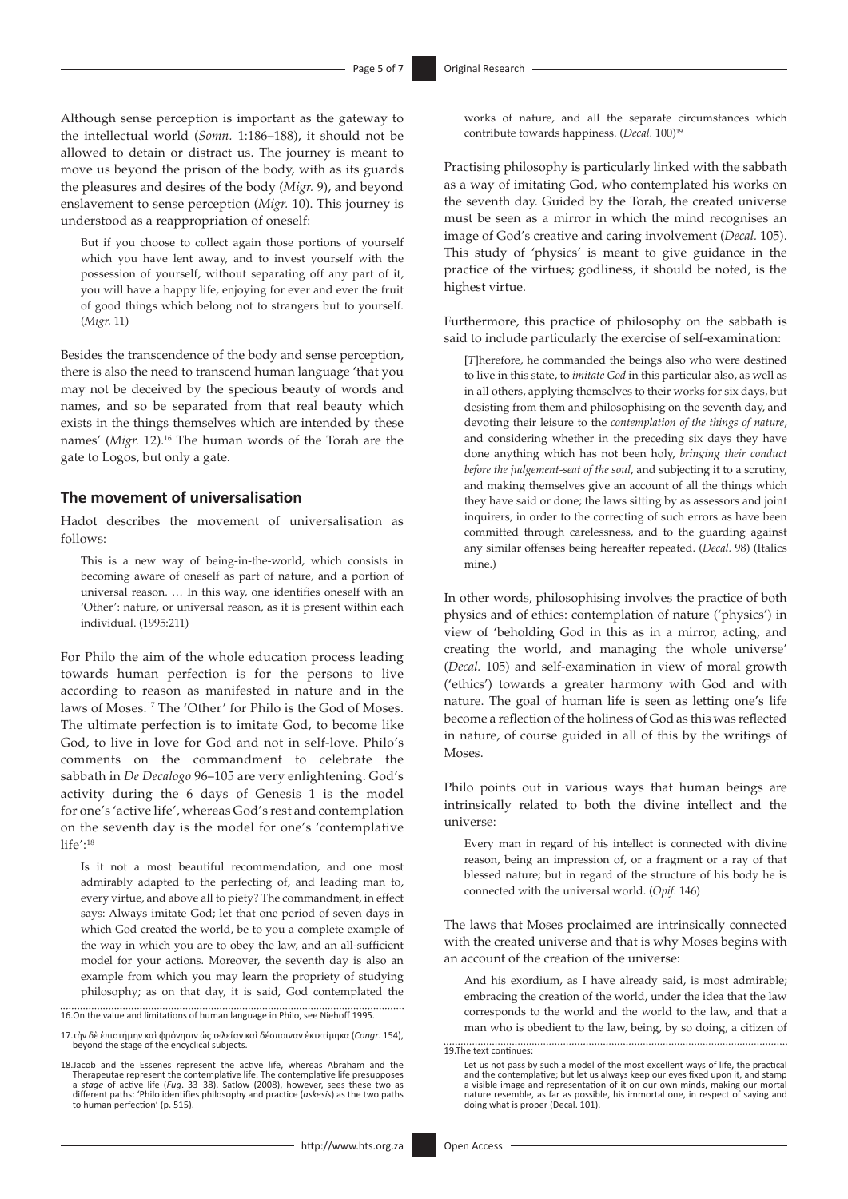Although sense perception is important as the gateway to the intellectual world (*Somn.* 1:186–188), it should not be allowed to detain or distract us. The journey is meant to move us beyond the prison of the body, with as its guards the pleasures and desires of the body (*Migr.* 9), and beyond enslavement to sense perception (*Migr.* 10). This journey is understood as a reappropriation of oneself:

But if you choose to collect again those portions of yourself which you have lent away, and to invest yourself with the possession of yourself, without separating off any part of it, you will have a happy life, enjoying for ever and ever the fruit of good things which belong not to strangers but to yourself. (*Migr.* 11)

Besides the transcendence of the body and sense perception, there is also the need to transcend human language 'that you may not be deceived by the specious beauty of words and names, and so be separated from that real beauty which exists in the things themselves which are intended by these names' (*Migr.* 12).16 The human words of the Torah are the gate to Logos, but only a gate.

### **The movement of universalisation**

Hadot describes the movement of universalisation as follows:

This is a new way of being-in-the-world, which consists in becoming aware of oneself as part of nature, and a portion of universal reason. … In this way, one identifies oneself with an 'Other': nature, or universal reason, as it is present within each individual. (1995:211)

For Philo the aim of the whole education process leading towards human perfection is for the persons to live according to reason as manifested in nature and in the laws of Moses.17 The 'Other' for Philo is the God of Moses. The ultimate perfection is to imitate God, to become like God, to live in love for God and not in self-love. Philo's comments on the commandment to celebrate the sabbath in *De Decalogo* 96–105 are very enlightening. God's activity during the 6 days of Genesis 1 is the model for one's 'active life', whereas God's rest and contemplation on the seventh day is the model for one's 'contemplative  $l$ ife':<sup>18</sup>

Is it not a most beautiful recommendation, and one most admirably adapted to the perfecting of, and leading man to, every virtue, and above all to piety? The commandment, in effect says: Always imitate God; let that one period of seven days in which God created the world, be to you a complete example of the way in which you are to obey the law, and an all-sufficient model for your actions. Moreover, the seventh day is also an example from which you may learn the propriety of studying philosophy; as on that day, it is said, God contemplated the

16.On the value and limitations of human language in Philo, see Niehoff 1995.

works of nature, and all the separate circumstances which contribute towards happiness. (*Decal.* 100)<sup>19</sup>

Practising philosophy is particularly linked with the sabbath as a way of imitating God, who contemplated his works on the seventh day. Guided by the Torah, the created universe must be seen as a mirror in which the mind recognises an image of God's creative and caring involvement (*Decal.* 105). This study of 'physics' is meant to give guidance in the practice of the virtues; godliness, it should be noted, is the highest virtue.

Furthermore, this practice of philosophy on the sabbath is said to include particularly the exercise of self-examination:

[*T*]herefore, he commanded the beings also who were destined to live in this state, to *imitate God* in this particular also, as well as in all others, applying themselves to their works for six days, but desisting from them and philosophising on the seventh day, and devoting their leisure to the *contemplation of the things of nature*, and considering whether in the preceding six days they have done anything which has not been holy, *bringing their conduct before the judgement-seat of the soul*, and subjecting it to a scrutiny, and making themselves give an account of all the things which they have said or done; the laws sitting by as assessors and joint inquirers, in order to the correcting of such errors as have been committed through carelessness, and to the guarding against any similar offenses being hereafter repeated. (*Decal.* 98) (Italics mine.)

In other words, philosophising involves the practice of both physics and of ethics: contemplation of nature ('physics') in view of 'beholding God in this as in a mirror, acting, and creating the world, and managing the whole universe' (*Decal.* 105) and self-examination in view of moral growth ('ethics') towards a greater harmony with God and with nature. The goal of human life is seen as letting one's life become a reflection of the holiness of God as this was reflected in nature, of course guided in all of this by the writings of Moses.

Philo points out in various ways that human beings are intrinsically related to both the divine intellect and the universe:

Every man in regard of his intellect is connected with divine reason, being an impression of, or a fragment or a ray of that blessed nature; but in regard of the structure of his body he is connected with the universal world. (*Opif.* 146)

The laws that Moses proclaimed are intrinsically connected with the created universe and that is why Moses begins with an account of the creation of the universe:

And his exordium, as I have already said, is most admirable; embracing the creation of the world, under the idea that the law corresponds to the world and the world to the law, and that a man who is obedient to the law, being, by so doing, a citizen of  $19.7$  for  $-19.7$  for  $\sim 100$  and  $\sim 100$  for the text continues:

<sup>17.</sup>τὴν δὲ ἐπιστήμην καὶ φρόνησιν ὡς τελείαν καὶ δέσποιναν ἐκτετίμηκα (*Congr*. 154), beyond the stage of the encyclical subjects.

<sup>18.</sup> Jacob and the Essenes represent the active life, whereas Abraham and the Therapeutae represent the contemplative life. The contemplative life presupposes a *stage* of active life (*Fug.* 33–38). Satlow (2008), however, to human perfection' (p. 515).

Let us not pass by such a model of the most excellent ways of life, the practical<br>and the contemplative; but let us always keep our eyes fixed upon it, and stamp<br>a visible image and representation of it on our own minds, m nature resemble, as far as possible, his immortal one, in respect of saying and doing what is proper (Decal. 101).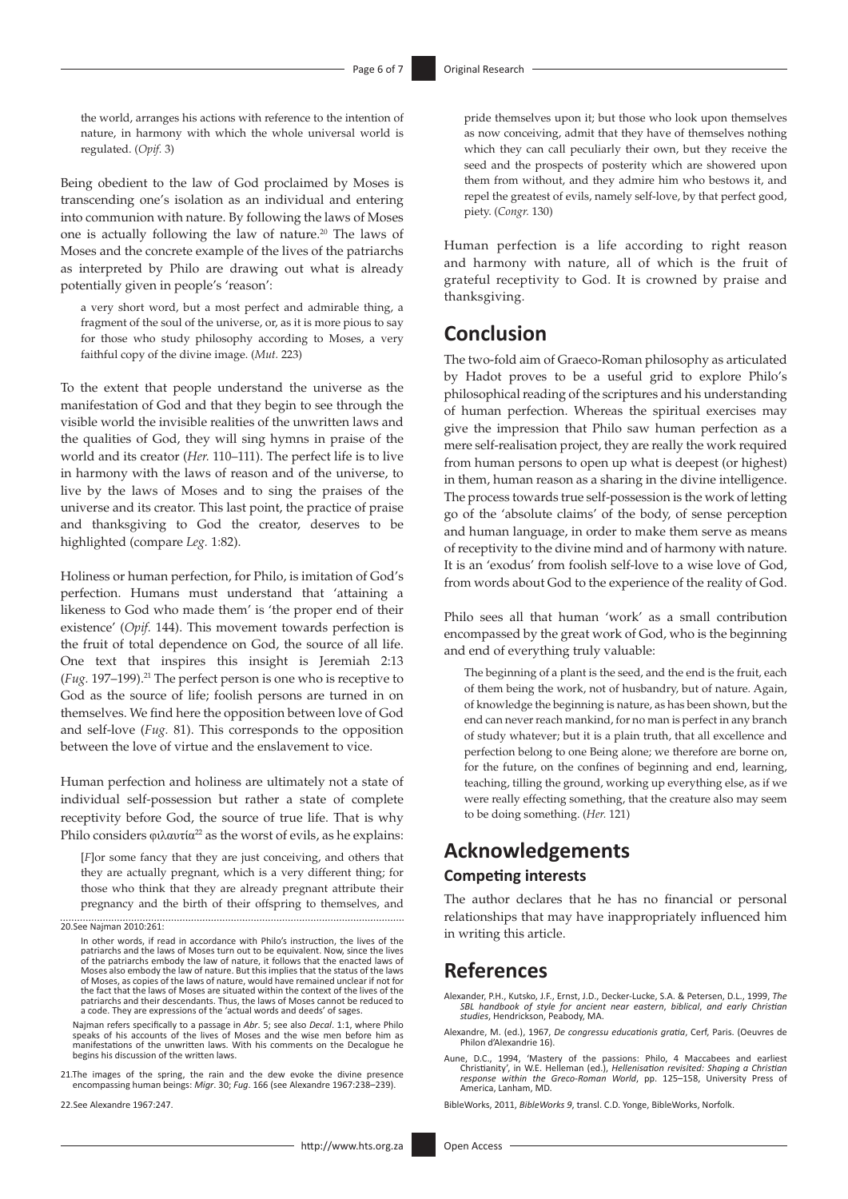the world, arranges his actions with reference to the intention of nature, in harmony with which the whole universal world is regulated. (*Opif.* 3)

Being obedient to the law of God proclaimed by Moses is transcending one's isolation as an individual and entering into communion with nature. By following the laws of Moses one is actually following the law of nature.20 The laws of Moses and the concrete example of the lives of the patriarchs as interpreted by Philo are drawing out what is already potentially given in people's 'reason':

a very short word, but a most perfect and admirable thing, a fragment of the soul of the universe, or, as it is more pious to say for those who study philosophy according to Moses, a very faithful copy of the divine image. (*Mut.* 223)

To the extent that people understand the universe as the manifestation of God and that they begin to see through the visible world the invisible realities of the unwritten laws and the qualities of God, they will sing hymns in praise of the world and its creator (*Her.* 110–111). The perfect life is to live in harmony with the laws of reason and of the universe, to live by the laws of Moses and to sing the praises of the universe and its creator. This last point, the practice of praise and thanksgiving to God the creator, deserves to be highlighted (compare *Leg.* 1:82).

Holiness or human perfection, for Philo, is imitation of God's perfection. Humans must understand that 'attaining a likeness to God who made them' is 'the proper end of their existence' (*Opif.* 144). This movement towards perfection is the fruit of total dependence on God, the source of all life. One text that inspires this insight is Jeremiah 2:13 (*Fug.* 197–199).21 The perfect person is one who is receptive to God as the source of life; foolish persons are turned in on themselves. We find here the opposition between love of God and self-love (*Fug.* 81). This corresponds to the opposition between the love of virtue and the enslavement to vice.

Human perfection and holiness are ultimately not a state of individual self-possession but rather a state of complete receptivity before God, the source of true life. That is why Philo considers  $\omega \omega \nu \tilde{a}^{22}$  as the worst of evils, as he explains:

[*F*]or some fancy that they are just conceiving, and others that they are actually pregnant, which is a very different thing; for those who think that they are already pregnant attribute their pregnancy and the birth of their offspring to themselves, and erration and the state of the state of the state of the state of the 20.<br>20.See Najman 2010:261:

Najman refers specifically to a passage in *Abr*. 5; see also *Decal*. 1:1, where Philo speaks of his accounts of the lives of Moses and the wise men before him as manifestations of the unwritten laws. With his comments on the Decalogue he begins his discussion of the written laws.

21.The images of the spring, the rain and the dew evoke the divine presence encompassing human beings: *Migr*. 30; *Fug*. 166 (see Alexandre 1967:238–239).

22.See Alexandre 1967:247.

pride themselves upon it; but those who look upon themselves as now conceiving, admit that they have of themselves nothing which they can call peculiarly their own, but they receive the seed and the prospects of posterity which are showered upon them from without, and they admire him who bestows it, and repel the greatest of evils, namely self-love, by that perfect good, piety. (*Congr.* 130)

Human perfection is a life according to right reason and harmony with nature, all of which is the fruit of grateful receptivity to God. It is crowned by praise and thanksgiving.

### **Conclusion**

The two-fold aim of Graeco-Roman philosophy as articulated by Hadot proves to be a useful grid to explore Philo's philosophical reading of the scriptures and his understanding of human perfection. Whereas the spiritual exercises may give the impression that Philo saw human perfection as a mere self-realisation project, they are really the work required from human persons to open up what is deepest (or highest) in them, human reason as a sharing in the divine intelligence. The process towards true self-possession is the work of letting go of the 'absolute claims' of the body, of sense perception and human language, in order to make them serve as means of receptivity to the divine mind and of harmony with nature. It is an 'exodus' from foolish self-love to a wise love of God, from words about God to the experience of the reality of God.

Philo sees all that human 'work' as a small contribution encompassed by the great work of God, who is the beginning and end of everything truly valuable:

The beginning of a plant is the seed, and the end is the fruit, each of them being the work, not of husbandry, but of nature. Again, of knowledge the beginning is nature, as has been shown, but the end can never reach mankind, for no man is perfect in any branch of study whatever; but it is a plain truth, that all excellence and perfection belong to one Being alone; we therefore are borne on, for the future, on the confines of beginning and end, learning, teaching, tilling the ground, working up everything else, as if we were really effecting something, that the creature also may seem to be doing something. (*Her.* 121)

# **Acknowledgements Competing interests**

The author declares that he has no financial or personal relationships that may have inappropriately influenced him in writing this article.

### **References**

- Alexander, P.H., Kutsko, J.F., Ernst, J.D., Decker-Lucke, S.A. & Petersen, D.L., 1999, *The SBL handbook of style for ancient near eastern*, *biblical*, *and early Christian studies*, Hendrickson, Peabody, MA.
- Alexandre, M. (ed.), 1967, *De congressu educationis gratia*, Cerf, Paris. (Oeuvres de Philon d'Alexandrie 16).
- Aune, D.C., 1994, 'Mastery of the passions: Philo, 4 Maccabees and earliest Christianity', in W.E. Helleman (ed.), *Hellenisation revisited: Shaping a Christian response within the Greco-Roman World*, pp. 125–158, University Press of America, Lanham, MD.

BibleWorks, 2011, *BibleWorks 9*, transl. C.D. Yonge, BibleWorks, Norfolk.

In other words, if read in accordance with Philo's instruction, the lives of the patriarchs and the laws of Moses turn out to be equivalent. Now, since the lives of the patriarchs embody the law of nature, it follows that the enacted laws of Moses also embody the law of nature. But this implies that the status of the laws of Moses, as copies of the laws of nature, would have remained unclear if not for the fact that the laws of Moses are situated within the context of the lives of the patriarchs and their descendants. Thus, the laws of Moses cannot be reduced to a code. They are expressions of the 'actual words and deeds' of sages.